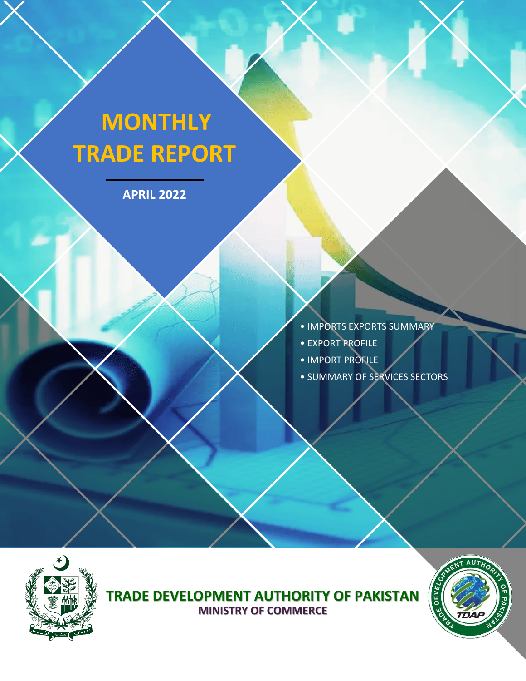# **MONTHLY TRADE REPORT**

**APRIL 2022**



- 
- EXPORT PROFILE
- IMPORT PROFILE
- SUMMARY OF SERVICES SECTORS



**TRADE DEVELOPMENT AUTHORITY OF PAKISTAN MINISTRY OF COMMERCE**

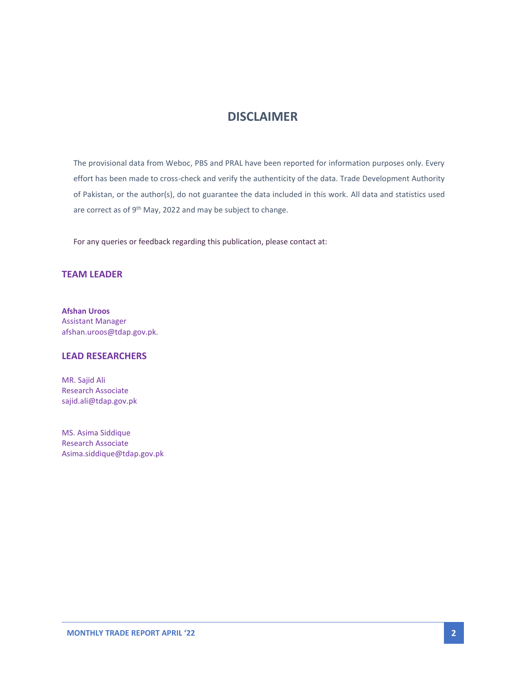# **DISCLAIMER**

The provisional data from Weboc, PBS and PRAL have been reported for information purposes only. Every effort has been made to cross-check and verify the authenticity of the data. Trade Development Authority of Pakistan, or the author(s), do not guarantee the data included in this work. All data and statistics used are correct as of 9<sup>th</sup> May, 2022 and may be subject to change.

For any queries or feedback regarding this publication, please contact at:

#### **TEAM LEADER**

**Afshan Uroos** Assistant Manager afshan.uroos@tdap.gov.pk.

#### **LEAD RESEARCHERS**

MR. Sajid Ali Research Associate sajid.ali@tdap.gov.pk

MS. Asima Siddique Research Associate Asima.siddique@tdap.gov.pk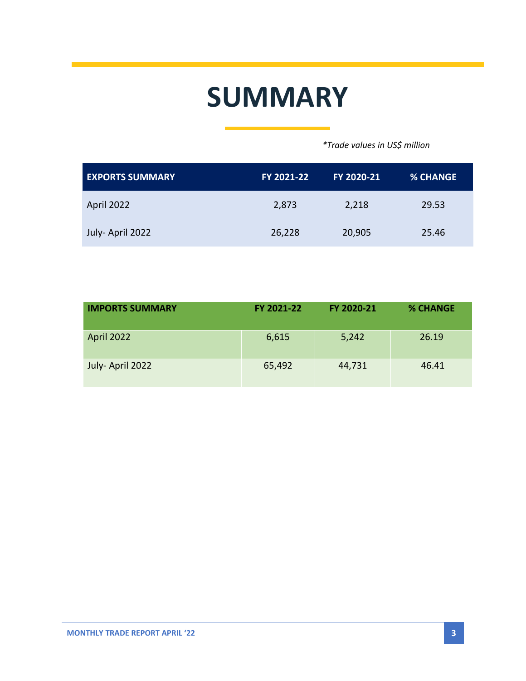# **SUMMARY**

 *\*Trade values in US\$ million*

| <b>EXPORTS SUMMARY</b> | FY 2021-22 | FY 2020-21 | <b>% CHANGE</b> |
|------------------------|------------|------------|-----------------|
| April 2022             | 2,873      | 2,218      | 29.53           |
| July-April 2022        | 26,228     | 20,905     | 25.46           |

| <b>IMPORTS SUMMARY</b> | FY 2021-22 | FY 2020-21 | <b>% CHANGE</b> |
|------------------------|------------|------------|-----------------|
| April 2022             | 6,615      | 5,242      | 26.19           |
| July-April 2022        | 65,492     | 44,731     | 46.41           |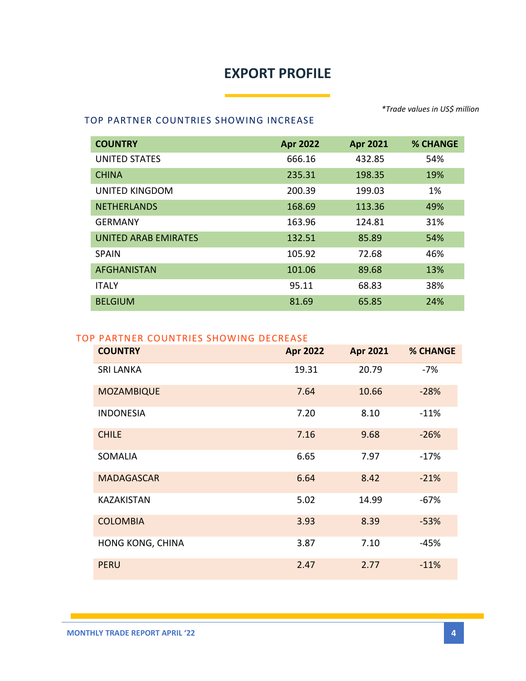# **EXPORT PROFILE**

*\*Trade values in US\$ million*

#### TOP PARTNER COUNTRIES SHOWING INCREASE

| <b>COUNTRY</b>              | <b>Apr 2022</b> | <b>Apr 2021</b> | % CHANGE |
|-----------------------------|-----------------|-----------------|----------|
| <b>UNITED STATES</b>        | 666.16          | 432.85          | 54%      |
| <b>CHINA</b>                | 235.31          | 198.35          | 19%      |
| UNITED KINGDOM              | 200.39          | 199.03          | 1%       |
| <b>NETHERLANDS</b>          | 168.69          | 113.36          | 49%      |
| <b>GERMANY</b>              | 163.96          | 124.81          | 31%      |
| <b>UNITED ARAB EMIRATES</b> | 132.51          | 85.89           | 54%      |
| <b>SPAIN</b>                | 105.92          | 72.68           | 46%      |
| <b>AFGHANISTAN</b>          | 101.06          | 89.68           | 13%      |
| <b>ITALY</b>                | 95.11           | 68.83           | 38%      |
| <b>BELGIUM</b>              | 81.69           | 65.85           | 24%      |

#### TOP PARTNER COUNTRIES SHOWING DECREASE

| <b>COUNTRY</b>    | <b>Apr 2022</b> | <b>Apr 2021</b> | <b>% CHANGE</b> |
|-------------------|-----------------|-----------------|-----------------|
| <b>SRI LANKA</b>  | 19.31           | 20.79           | -7%             |
| <b>MOZAMBIQUE</b> | 7.64            | 10.66           | $-28%$          |
| <b>INDONESIA</b>  | 7.20            | 8.10            | $-11%$          |
| <b>CHILE</b>      | 7.16            | 9.68            | $-26%$          |
| <b>SOMALIA</b>    | 6.65            | 7.97            | $-17%$          |
| <b>MADAGASCAR</b> | 6.64            | 8.42            | $-21%$          |
| <b>KAZAKISTAN</b> | 5.02            | 14.99           | $-67%$          |
| <b>COLOMBIA</b>   | 3.93            | 8.39            | $-53%$          |
| HONG KONG, CHINA  | 3.87            | 7.10            | -45%            |
| <b>PERU</b>       | 2.47            | 2.77            | $-11%$          |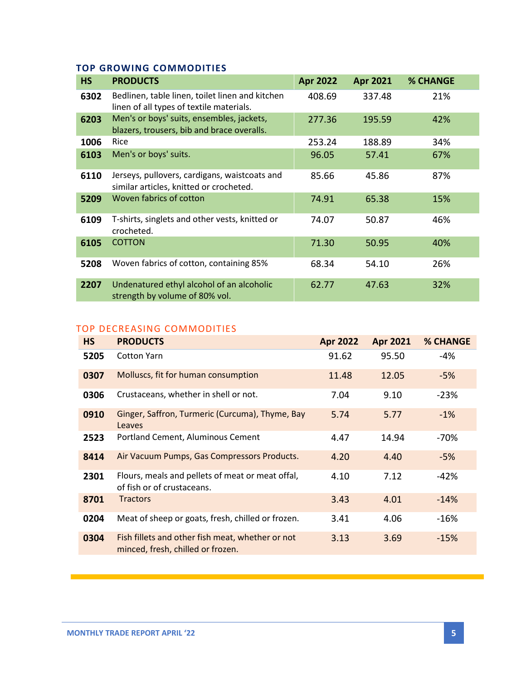### **TOP GROWING COMMODITIES**

| <b>HS</b> | <b>PRODUCTS</b>                                                                             | <b>Apr 2022</b> | <b>Apr 2021</b> | <b>% CHANGE</b> |
|-----------|---------------------------------------------------------------------------------------------|-----------------|-----------------|-----------------|
| 6302      | Bedlinen, table linen, toilet linen and kitchen<br>linen of all types of textile materials. | 408.69          | 337.48          | 21%             |
| 6203      | Men's or boys' suits, ensembles, jackets,<br>blazers, trousers, bib and brace overalls.     | 277.36          | 195.59          | 42%             |
| 1006      | Rice                                                                                        | 253.24          | 188.89          | 34%             |
| 6103      | Men's or boys' suits.                                                                       | 96.05           | 57.41           | 67%             |
| 6110      | Jerseys, pullovers, cardigans, waistcoats and<br>similar articles, knitted or crocheted.    | 85.66           | 45.86           | 87%             |
| 5209      | Woven fabrics of cotton                                                                     | 74.91           | 65.38           | 15%             |
| 6109      | T-shirts, singlets and other vests, knitted or<br>crocheted.                                | 74.07           | 50.87           | 46%             |
| 6105      | <b>COTTON</b>                                                                               | 71.30           | 50.95           | 40%             |
| 5208      | Woven fabrics of cotton, containing 85%                                                     | 68.34           | 54.10           | 26%             |
| 2207      | Undenatured ethyl alcohol of an alcoholic<br>strength by volume of 80% vol.                 | 62.77           | 47.63           | 32%             |

### TOP DECREASING COMMODITIES

| <b>HS</b> | <b>PRODUCTS</b>                                                                       | <b>Apr 2022</b> | <b>Apr 2021</b> | <b>% CHANGE</b> |
|-----------|---------------------------------------------------------------------------------------|-----------------|-----------------|-----------------|
| 5205      | <b>Cotton Yarn</b>                                                                    | 91.62           | 95.50           | -4%             |
| 0307      | Molluscs, fit for human consumption                                                   | 11.48           | 12.05           | $-5%$           |
| 0306      | Crustaceans, whether in shell or not.                                                 | 7.04            | 9.10            | $-23%$          |
| 0910      | Ginger, Saffron, Turmeric (Curcuma), Thyme, Bay<br>Leaves                             | 5.74            | 5.77            | $-1%$           |
| 2523      | Portland Cement, Aluminous Cement                                                     | 4.47            | 14.94           | -70%            |
| 8414      | Air Vacuum Pumps, Gas Compressors Products.                                           | 4.20            | 4.40            | $-5%$           |
| 2301      | Flours, meals and pellets of meat or meat offal,<br>of fish or of crustaceans.        | 4.10            | 7.12            | $-42%$          |
| 8701      | <b>Tractors</b>                                                                       | 3.43            | 4.01            | $-14%$          |
| 0204      | Meat of sheep or goats, fresh, chilled or frozen.                                     | 3.41            | 4.06            | $-16%$          |
| 0304      | Fish fillets and other fish meat, whether or not<br>minced, fresh, chilled or frozen. | 3.13            | 3.69            | $-15%$          |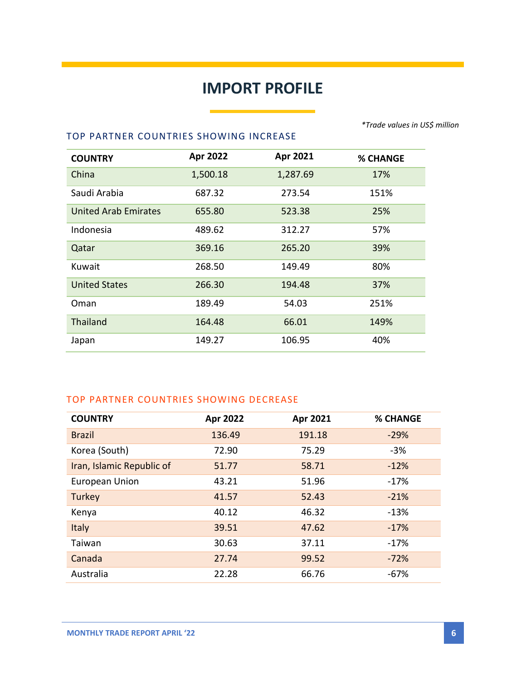# **IMPORT PROFILE**

**Service State** 

*\*Trade values in US\$ million*

#### TOP PARTNER COUNTRIES SHOWING INCREASE

| <b>COUNTRY</b>              | Apr 2022 | Apr 2021 | <b>% CHANGE</b> |
|-----------------------------|----------|----------|-----------------|
| China                       | 1,500.18 | 1,287.69 | 17%             |
| Saudi Arabia                | 687.32   | 273.54   | 151%            |
| <b>United Arab Emirates</b> | 655.80   | 523.38   | 25%             |
| Indonesia                   | 489.62   | 312.27   | 57%             |
| Qatar                       | 369.16   | 265.20   | 39%             |
| Kuwait                      | 268.50   | 149.49   | 80%             |
| <b>United States</b>        | 266.30   | 194.48   | 37%             |
| Oman                        | 189.49   | 54.03    | 251%            |
| <b>Thailand</b>             | 164.48   | 66.01    | 149%            |
| Japan                       | 149.27   | 106.95   | 40%             |

#### TOP PARTNER COUNTRIES SHOWING DECREASE

| <b>COUNTRY</b>            | Apr 2022 | Apr 2021 | <b>% CHANGE</b> |
|---------------------------|----------|----------|-----------------|
| <b>Brazil</b>             | 136.49   | 191.18   | $-29%$          |
| Korea (South)             | 72.90    | 75.29    | $-3%$           |
| Iran, Islamic Republic of | 51.77    | 58.71    | $-12%$          |
| <b>European Union</b>     | 43.21    | 51.96    | $-17%$          |
| Turkey                    | 41.57    | 52.43    | $-21%$          |
| Kenya                     | 40.12    | 46.32    | $-13%$          |
| Italy                     | 39.51    | 47.62    | $-17%$          |
| Taiwan                    | 30.63    | 37.11    | $-17%$          |
| Canada                    | 27.74    | 99.52    | $-72%$          |
| Australia                 | 22.28    | 66.76    | $-67%$          |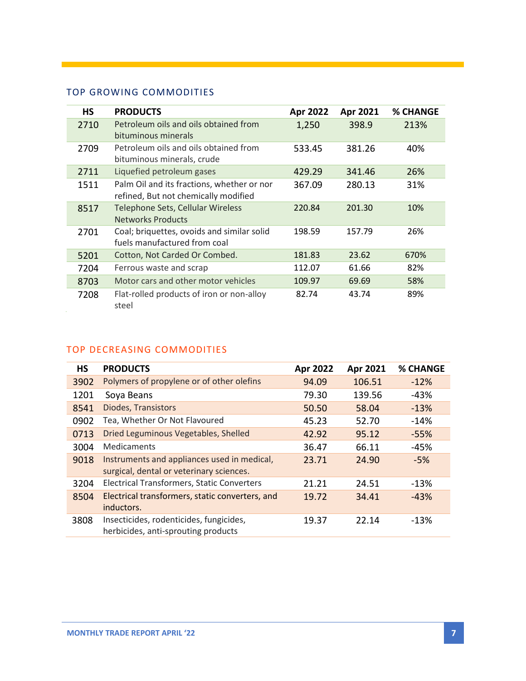# TOP GROWING COMMODITIES

| HS   | <b>PRODUCTS</b>                                                                    | Apr 2022 | Apr 2021 | <b>% CHANGE</b> |
|------|------------------------------------------------------------------------------------|----------|----------|-----------------|
| 2710 | Petroleum oils and oils obtained from<br>bituminous minerals                       | 1,250    | 398.9    | 213%            |
| 2709 | Petroleum oils and oils obtained from<br>bituminous minerals, crude                | 533.45   | 381.26   | 40%             |
| 2711 | Liquefied petroleum gases                                                          | 429.29   | 341.46   | 26%             |
| 1511 | Palm Oil and its fractions, whether or nor<br>refined, But not chemically modified | 367.09   | 280.13   | 31%             |
| 8517 | Telephone Sets, Cellular Wireless<br><b>Networks Products</b>                      | 220.84   | 201.30   | 10%             |
| 2701 | Coal; briquettes, ovoids and similar solid<br>fuels manufactured from coal         | 198.59   | 157.79   | 26%             |
| 5201 | Cotton, Not Carded Or Combed.                                                      | 181.83   | 23.62    | 670%            |
| 7204 | Ferrous waste and scrap                                                            | 112.07   | 61.66    | 82%             |
| 8703 | Motor cars and other motor vehicles                                                | 109.97   | 69.69    | 58%             |
| 7208 | Flat-rolled products of iron or non-alloy<br>steel                                 | 82.74    | 43.74    | 89%             |

# TOP DECREASING COMMODITIES

| <b>HS</b> | <b>PRODUCTS</b>                                                                         | Apr 2022 | Apr 2021 | % CHANGE |
|-----------|-----------------------------------------------------------------------------------------|----------|----------|----------|
| 3902      | Polymers of propylene or of other olefins                                               | 94.09    | 106.51   | $-12%$   |
| 1201      | Soya Beans                                                                              | 79.30    | 139.56   | -43%     |
| 8541      | Diodes, Transistors                                                                     | 50.50    | 58.04    | $-13%$   |
| 0902      | Tea, Whether Or Not Flavoured                                                           | 45.23    | 52.70    | $-14%$   |
| 0713      | Dried Leguminous Vegetables, Shelled                                                    | 42.92    | 95.12    | $-55%$   |
| 3004      | Medicaments                                                                             | 36.47    | 66.11    | -45%     |
| 9018      | Instruments and appliances used in medical,<br>surgical, dental or veterinary sciences. | 23.71    | 24.90    | $-5%$    |
| 3204      | <b>Electrical Transformers, Static Converters</b>                                       | 21.21    | 24.51    | $-13%$   |
| 8504      | Electrical transformers, static converters, and<br>inductors.                           | 19.72    | 34.41    | $-43%$   |
| 3808      | Insecticides, rodenticides, fungicides,<br>herbicides, anti-sprouting products          | 19.37    | 22.14    | $-13%$   |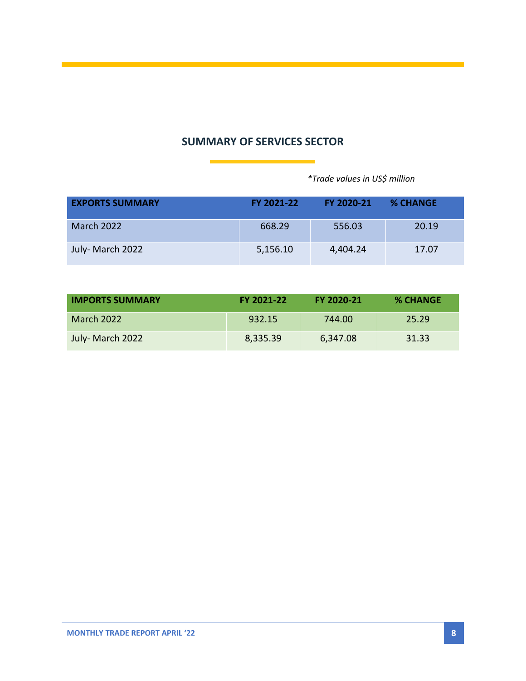# **SUMMARY OF SERVICES SECTOR**

 *\*Trade values in US\$ million*

| <b>EXPORTS SUMMARY</b> | <b>FY 2021-22</b> | FY 2020-21 | <b>% CHANGE</b> |
|------------------------|-------------------|------------|-----------------|
| <b>March 2022</b>      | 668.29            | 556.03     | 20.19           |
| July- March 2022       | 5,156.10          | 4,404.24   | 17.07           |

| <b>IMPORTS SUMMARY</b> | FY 2021-22 | FY 2020-21 | <b>% CHANGE</b> |
|------------------------|------------|------------|-----------------|
| <b>March 2022</b>      | 932.15     | 744.00     | 25.29           |
| July- March 2022       | 8,335.39   | 6,347.08   | 31.33           |